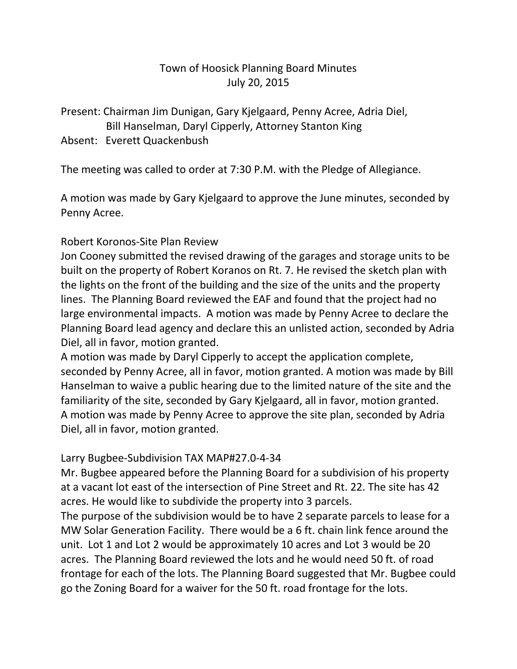# Town of Hoosick Planning Board Minutes July 20, 2015

Present: Chairman Jim Dunigan, Gary Kjelgaard, Penny Acree, Adria Diel, Bill Hanselman, Daryl Cipperly, Attorney Stanton King

### Absent: Everett Quackenbush

The meeting was called to order at 7:30 P.M. with the Pledge of Allegiance.

A motion was made by Gary Kjelgaard to approve the June minutes, seconded by Penny Acree.

### Robert Koronos-Site Plan Review

Jon Cooney submitted the revised drawing of the garages and storage units to be built on the property of Robert Koranos on Rt. 7. He revised the sketch plan with the lights on the front of the building and the size of the units and the property lines. The Planning Board reviewed the EAF and found that the project had no large environmental impacts. A motion was made by Penny Acree to declare the Planning Board lead agency and declare this an unlisted action, seconded by Adria Diel, all in favor, motion granted.

A motion was made by Daryl Cipperly to accept the application complete, seconded by Penny Acree, all in favor, motion granted. A motion was made by Bill Hanselman to waive a public hearing due to the limited nature of the site and the familiarity of the site, seconded by Gary Kjelgaard, all in favor, motion granted. A motion was made by Penny Acree to approve the site plan, seconded by Adria Diel, all in favor, motion granted.

#### Larry Bugbee-Subdivision TAX MAP#27.0-4-34

Mr. Bugbee appeared before the Planning Board for a subdivision of his property at a vacant lot east of the intersection of Pine Street and Rt. 22. The site has 42 acres. He would like to subdivide the property into 3 parcels.

The purpose of the subdivision would be to have 2 separate parcels to lease for a MW Solar Generation Facility. There would be a 6 ft. chain link fence around the unit. Lot 1 and Lot 2 would be approximately 10 acres and Lot 3 would be 20 acres. The Planning Board reviewed the lots and he would need 50 ft. of road frontage for each of the lots. The Planning Board suggested that Mr. Bugbee could go the Zoning Board for a waiver for the 50 ft. road frontage for the lots.